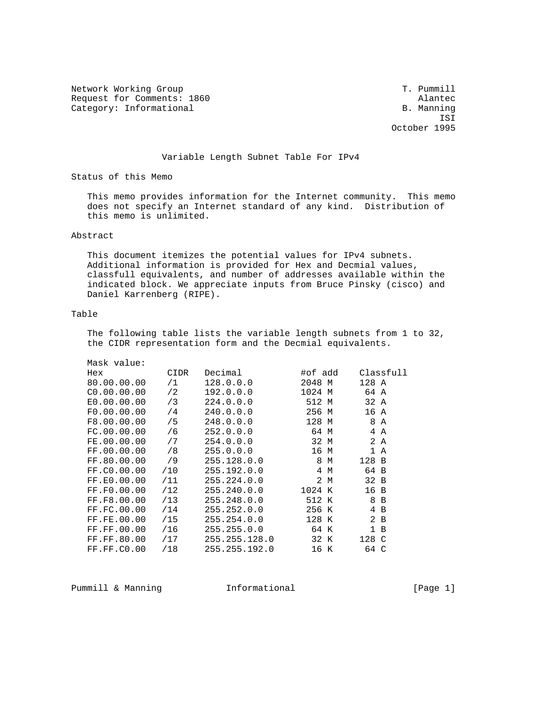Network Working Group T. Pummill Request for Comments: 1860 Alantec Category: Informational and B. Manning

 ISI October 1995

### Variable Length Subnet Table For IPv4

Status of this Memo

 This memo provides information for the Internet community. This memo does not specify an Internet standard of any kind. Distribution of this memo is unlimited.

#### Abstract

 This document itemizes the potential values for IPv4 subnets. Additional information is provided for Hex and Decmial values, classfull equivalents, and number of addresses available within the indicated block. We appreciate inputs from Bruce Pinsky (cisco) and Daniel Karrenberg (RIPE).

### Table

 The following table lists the variable length subnets from 1 to 32, the CIDR representation form and the Decmial equivalents.

| Mask value: |      |               |         |     |       |                |  |
|-------------|------|---------------|---------|-----|-------|----------------|--|
| Hex         | CIDR | Decimal       | #of add |     |       | Classfull      |  |
| 80.00.00.00 | /1   | 128.0.0.0     | 2048 M  |     | 128 A |                |  |
| CO.00.00.00 | /2   | 192.0.0.0     | 1024 M  |     | 64 A  |                |  |
| E0.00.00.00 | /3   | 224.0.0.0     | 512 M   |     | 32 A  |                |  |
| F0.00.00.00 | /4   | 240.0.0.0     | 256 M   |     | 16A   |                |  |
| F8.00.00.00 | /5   | 248.0.0.0     | 128 M   |     |       | 8 A            |  |
| FC.00.00.00 | /6   | 252.0.0.0     | 64 M    |     |       | 4 A            |  |
| FE.00.00.00 | /7   | 254.0.0.0     | 32 M    |     |       | 2A             |  |
| FF.00.00.00 | /8   | 255.0.0.0     | 16 M    |     |       | 1 A            |  |
| FF.80.00.00 | /9   | 255.128.0.0   | 8 M     |     | 128 B |                |  |
| FF.CO.00.00 | /10  | 255.192.0.0   |         | 4 M | 64 B  |                |  |
| FF.E0.00.00 | /11  | 255.224.0.0   |         | 2 M | 32 B  |                |  |
| FF.F0.00.00 | /12  | 255.240.0.0   | 1024 K  |     | 16B   |                |  |
| FF.F8.00.00 | /13  | 255.248.0.0   | 512 K   |     | 8     | $\overline{B}$ |  |
| FF.FC.00.00 | /14  | 255.252.0.0   | 256 K   |     | 4     | $\overline{B}$ |  |
| FF.FE.00.00 | /15  | 255.254.0.0   | 128 K   |     |       | 2 <sub>B</sub> |  |
| FF.FF.00.00 | /16  | 255.255.0.0   | 64 K    |     |       | 1 B            |  |
| FF.FF.80.00 | /17  | 255.255.128.0 | 32 K    |     | 128 C |                |  |
| FF.FF.CO.00 | /18  | 255.255.192.0 | 16 K    |     | 64 C  |                |  |
|             |      |               |         |     |       |                |  |

Pummill & Manning  $I$  Informational  $[Page 1]$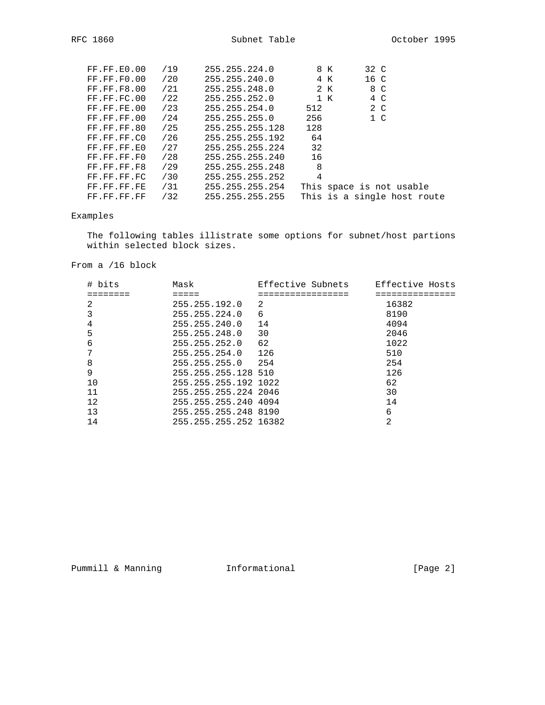| FF.FF.E0.00        | /19 | 255.255.224.0   | 8 K  | 32 C                     |                             |
|--------------------|-----|-----------------|------|--------------------------|-----------------------------|
| FF.FF.F0.00        | /20 | 255.255.240.0   | 4 K  | 16 C                     |                             |
| <b>FF.FF.F8.00</b> | /21 | 255.255.248.0   | 2 K  | 8 C                      |                             |
| FF.FF.FC.00        | /22 | 255.255.252.0   | 1 K  | 4 C                      |                             |
| FF.FF.FE.00        | /23 | 255.255.254.0   | 512  | 2 C                      |                             |
| FF.FF.FF.00        | /24 | 255.255.255.0   | 256  | 1 <sup>c</sup>           |                             |
| FF.FF.FF.80        | /25 | 255.255.255.128 | 128  |                          |                             |
| FF.FF.FF.CO        | /26 | 255.255.255.192 | - 64 |                          |                             |
| FF.FF.FF.EO        | /27 | 255.255.255.224 | 32   |                          |                             |
| FF.FF.FF.FO        | /28 | 255.255.255.240 | 16   |                          |                             |
| FF.FF.FF.F8        | /29 | 255.255.255.248 | 8    |                          |                             |
| FF.FF.FF.FC        | /30 | 255.255.255.252 | 4    |                          |                             |
| FF.FF.FF.FE        | /31 | 255.255.255.254 |      | This space is not usable |                             |
| FF.FF.FF.FF        | /32 | 255.255.255.255 |      |                          | This is a single host route |

# Examples

 The following tables illistrate some options for subnet/host partions within selected block sizes.

From a /16 block

| # bits | Mask                  | Effective Subnets | Effective Hosts |
|--------|-----------------------|-------------------|-----------------|
|        |                       |                   |                 |
| 2      | 255.255.192.0         | 2                 | 16382           |
| 3      | 255.255.224.0         | 6                 | 8190            |
| 4      | 255.255.240.0         | 14                | 4094            |
| 5      | 255.255.248.0         | 30                | 2046            |
| 6      | 255.255.252.0         | 62                | 1022            |
| 7      | 255.255.254.0 126     |                   | 510             |
| 8      | 255.255.255.0 254     |                   | 254             |
| 9      | 255.255.255.128 510   |                   | 126             |
| 10     | 255.255.255.192 1022  |                   | 62              |
| 11     | 255.255.255.224 2046  |                   | 30              |
| 12     | 255.255.255.240 4094  |                   | 14              |
| 13     | 255.255.255.248 8190  |                   | 6               |
| 14     | 255.255.255.252 16382 |                   | 2               |